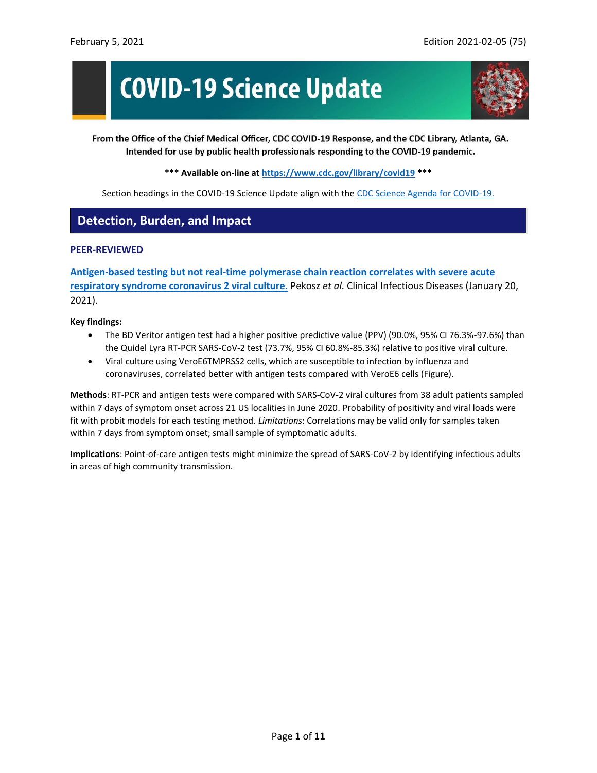# **COVID-19 Science Update**



From the Office of the Chief Medical Officer, CDC COVID-19 Response, and the CDC Library, Atlanta, GA. Intended for use by public health professionals responding to the COVID-19 pandemic.

**\*\*\* Available on-line at<https://www.cdc.gov/library/covid19> \*\*\***

Section headings in the COVID-19 Science Update align with the [CDC Science Agenda for COVID-19.](https://www.cdc.gov/coronavirus/2019-ncov/more/science-agenda-covid19.html)

## **Detection, Burden, and Impact**

#### **PEER-REVIEWED**

**[Antigen-based testing but not real-time polymerase chain reaction correlates with severe acute](https://academic.oup.com/cid/advance-article/doi/10.1093/cid/ciaa1706/6105729)  [respiratory syndrome coronavirus 2 viral culture.](https://academic.oup.com/cid/advance-article/doi/10.1093/cid/ciaa1706/6105729)** Pekosz *et al.* Clinical Infectious Diseases (January 20, 2021).

**Key findings:**

- The BD Veritor antigen test had a higher positive predictive value (PPV) (90.0%, 95% CI 76.3%-97.6%) than the Quidel Lyra RT-PCR SARS-CoV-2 test (73.7%, 95% CI 60.8%-85.3%) relative to positive viral culture.
- Viral culture using VeroE6TMPRSS2 cells, which are susceptible to infection by influenza and coronaviruses, correlated better with antigen tests compared with VeroE6 cells (Figure).

**Methods**: RT-PCR and antigen tests were compared with SARS-CoV-2 viral cultures from 38 adult patients sampled within 7 days of symptom onset across 21 US localities in June 2020. Probability of positivity and viral loads were fit with probit models for each testing method. *Limitations*: Correlations may be valid only for samples taken within 7 days from symptom onset; small sample of symptomatic adults.

**Implications**: Point-of-care antigen tests might minimize the spread of SARS-CoV-2 by identifying infectious adults in areas of high community transmission.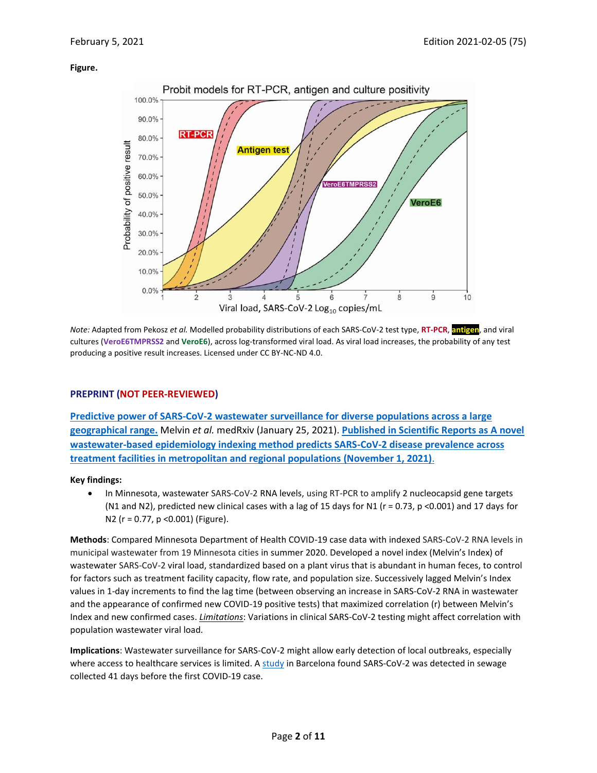#### **Figure.**



*Note:* Adapted from Pekosz *et al.* Modelled probability distributions of each SARS-CoV-2 test type, **RT-PCR**, **antigen**, and viral cultures (**VeroE6TMPRSS2** and **VeroE6**), across log-transformed viral load. As viral load increases, the probability of any test producing a positive result increases. Licensed under CC BY-NC-ND 4.0.

#### **PREPRINT (NOT PEER-REVIEWED)**

**[Predictive power of SARS-CoV-2 wastewater surveillance for diverse populations across a large](https://www.medrxiv.org/content/10.1101/2021.01.23.21250376v1)  [geographical range.](https://www.medrxiv.org/content/10.1101/2021.01.23.21250376v1)** Melvin *et al.* medRxiv (January 25, 2021). **[Published in Scientific Reports as A novel](https://doi.org/10.1038/s41598-021-00853-y)  [wastewater-based epidemiology indexing method predicts SARS-CoV-2 disease prevalence across](https://doi.org/10.1038/s41598-021-00853-y)  [treatment facilities in metropolitan and regional populations](https://doi.org/10.1038/s41598-021-00853-y) (November 1, 2021)**.

#### **Key findings:**

• In Minnesota, wastewater SARS-CoV-2 RNA levels, using RT-PCR to amplify 2 nucleocapsid gene targets (N1 and N2), predicted new clinical cases with a lag of 15 days for N1 ( $r = 0.73$ ,  $p < 0.001$ ) and 17 days for N2 (r = 0.77, p <0.001) (Figure).

**Methods**: Compared Minnesota Department of Health COVID-19 case data with indexed SARS-CoV-2 RNA levels in municipal wastewater from 19 Minnesota cities in summer 2020. Developed a novel index (Melvin's Index) of wastewater SARS-CoV-2 viral load, standardized based on a plant virus that is abundant in human feces, to control for factors such as treatment facility capacity, flow rate, and population size. Successively lagged Melvin's Index values in 1-day increments to find the lag time (between observing an increase in SARS-CoV-2 RNA in wastewater and the appearance of confirmed new COVID-19 positive tests) that maximized correlation (r) between Melvin's Index and new confirmed cases. *Limitations*: Variations in clinical SARS-CoV-2 testing might affect correlation with population wastewater viral load.

**Implications**: Wastewater surveillance for SARS-CoV-2 might allow early detection of local outbreaks, especially where access to healthcare services is limited. A [study](https://aem.asm.org/content/early/2021/01/18/AEM.02750-20.long) in Barcelona found SARS-CoV-2 was detected in sewage collected 41 days before the first COVID-19 case.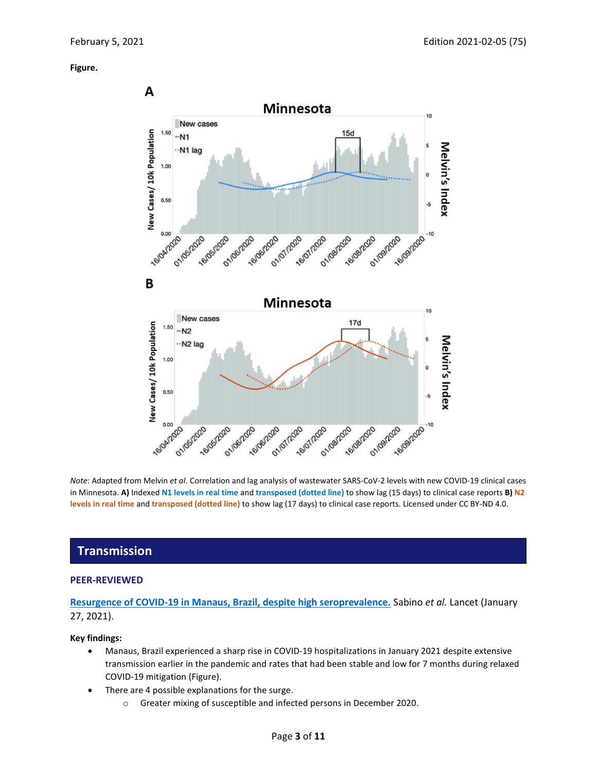#### **Figure.**



*Note*: Adapted from Melvin *et al*. Correlation and lag analysis of wastewater SARS-CoV-2 levels with new COVID-19 clinical cases in Minnesota. **A)** Indexed **N1 levels in real time** and **transposed (dotted line)** to show lag (15 days) to clinical case reports **B) N2 levels in real time** and **transposed (dotted line)** to show lag (17 days) to clinical case reports. Licensed under CC BY-ND 4.0.

## **Transmission**

#### **PEER-REVIEWED**

#### **[Resurgence of COVID-19 in Manaus, Brazil, despite high seroprevalence.](https://www.sciencedirect.com/science/article/pii/S0140673621001835?via%3Dihub)** Sabino *et al.* Lancet (January 27, 2021).

#### **Key findings:**

- Manaus, Brazil experienced a sharp rise in COVID-19 hospitalizations in January 2021 despite extensive transmission earlier in the pandemic and rates that had been stable and low for 7 months during relaxed COVID-19 mitigation (Figure).
- There are 4 possible explanations for the surge.
	- o Greater mixing of susceptible and infected persons in December 2020.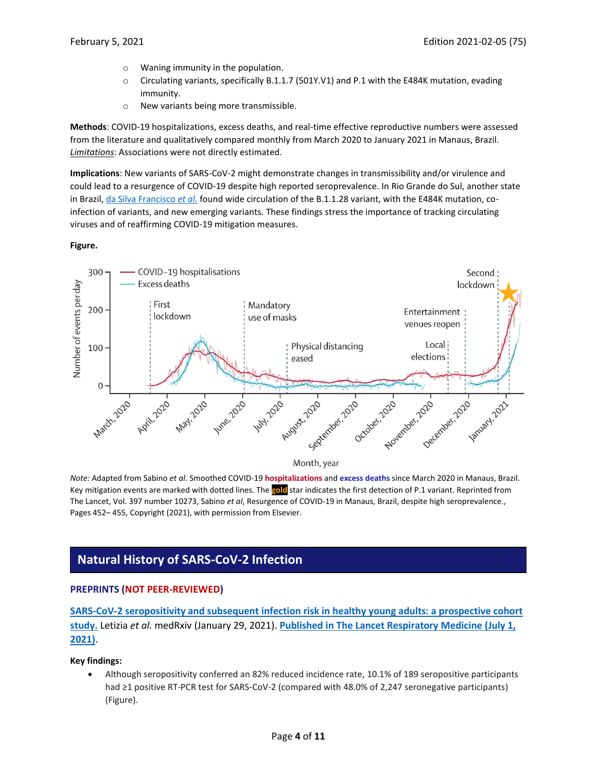- o Waning immunity in the population.
- o Circulating variants, specifically B.1.1.7 (501Y.V1) and P.1 with the E484K mutation, evading immunity.
- o New variants being more transmissible.

**Methods**: COVID-19 hospitalizations, excess deaths, and real-time effective reproductive numbers were assessed from the literature and qualitatively compared monthly from March 2020 to January 2021 in Manaus, Brazil. *Limitations*: Associations were not directly estimated.

**Implications**: New variants of SARS-CoV-2 might demonstrate changes in transmissibility and/or virulence and could lead to a resurgence of COVID-19 despite high reported seroprevalence. In Rio Grande do Sul, another state in Brazil, [da Silva Francisco](https://www.medrxiv.org/content/10.1101/2021.01.21.21249764v1.full-text) *et al.* found wide circulation of the B.1.1.28 variant, with the E484K mutation, coinfection of variants, and new emerging variants. These findings stress the importance of tracking circulating viruses and of reaffirming COVID-19 mitigation measures.

#### **Figure.**



*Note:* Adapted from Sabino *et al.* Smoothed COVID-19 **hospitalizations** and **excess deaths** since March 2020 in Manaus, Brazil. Key mitigation events are marked with dotted lines. The **gold** star indicates the first detection of P.1 variant. Reprinted from The Lancet, Vol. 397 number 10273, Sabino *et al*, Resurgence of COVID-19 in Manaus, Brazil, despite high seroprevalence., Pages 452– 455, Copyright (2021), with permission from Elsevier.

## **Natural History of SARS-CoV-2 Infection**

#### **PREPRINTS (NOT PEER-REVIEWED)**

**[SARS-CoV-2 seropositivity and subsequent infection risk in healthy young adults: a prospective cohort](https://www.medrxiv.org/content/10.1101/2021.01.26.21250535v1)  [study.](https://www.medrxiv.org/content/10.1101/2021.01.26.21250535v1)** Letizia *et al.* medRxiv (January 29, 2021). **[Published in The Lancet Respiratory Medicine \(July 1,](https://doi.org/10.1016/S2213-2600(21)00158-2)  [2021\)](https://doi.org/10.1016/S2213-2600(21)00158-2)**.

#### **Key findings:**

• Although seropositivity conferred an 82% reduced incidence rate, 10.1% of 189 seropositive participants had ≥1 positive RT-PCR test for SARS-CoV-2 (compared with 48.0% of 2,247 seronegative participants) (Figure).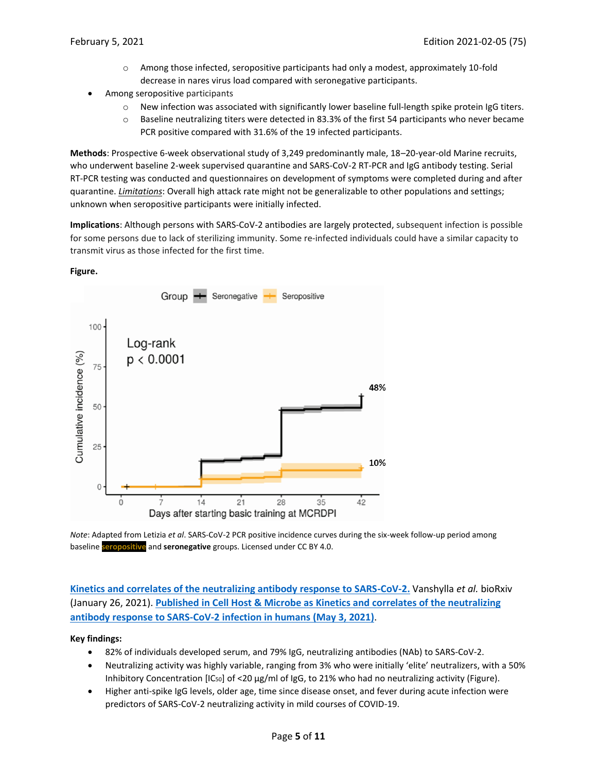- o Among those infected, seropositive participants had only a modest, approximately 10-fold decrease in nares virus load compared with seronegative participants.
- Among seropositive participants
	- o New infection was associated with significantly lower baseline full-length spike protein IgG titers.
	- $\circ$  Baseline neutralizing titers were detected in 83.3% of the first 54 participants who never became PCR positive compared with 31.6% of the 19 infected participants.

**Methods**: Prospective 6-week observational study of 3,249 predominantly male, 18–20-year-old Marine recruits, who underwent baseline 2-week supervised quarantine and SARS-CoV-2 RT-PCR and IgG antibody testing. Serial RT-PCR testing was conducted and questionnaires on development of symptoms were completed during and after quarantine. *Limitations*: Overall high attack rate might not be generalizable to other populations and settings; unknown when seropositive participants were initially infected.

**Implications**: Although persons with SARS-CoV-2 antibodies are largely protected, subsequent infection is possible for some persons due to lack of sterilizing immunity. Some re-infected individuals could have a similar capacity to transmit virus as those infected for the first time.

#### **Figure.**



*Note*: Adapted from Letizia *et al*. SARS-CoV-2 PCR positive incidence curves during the six-week follow-up period among baseline **seropositive** and **seronegative** groups. Licensed under CC BY 4.0.

**[Kinetics and correlates of the neutralizing antibody response to SARS-CoV-2.](https://www.biorxiv.org/content/10.1101/2021.01.26.428207v1)** Vanshylla *et al.* bioRxiv (January 26, 2021). **Published in Cell Host & [Microbe as Kinetics and correlates of the neutralizing](https://doi.org/10.1016/j.chom.2021.04.015)  [antibody response to SARS-CoV-2 infection in humans](https://doi.org/10.1016/j.chom.2021.04.015) (May 3, 2021)**.

#### **Key findings:**

- 82% of individuals developed serum, and 79% IgG, neutralizing antibodies (NAb) to SARS-CoV-2.
- Neutralizing activity was highly variable, ranging from 3% who were initially 'elite' neutralizers, with a 50% Inhibitory Concentration [IC50] of <20 µg/ml of IgG, to 21% who had no neutralizing activity (Figure).
- Higher anti-spike IgG levels, older age, time since disease onset, and fever during acute infection were predictors of SARS-CoV-2 neutralizing activity in mild courses of COVID-19.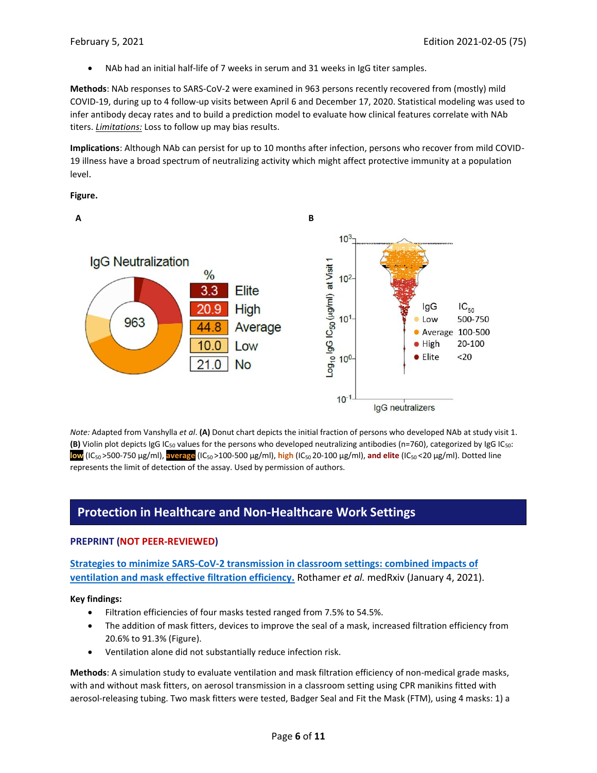• NAb had an initial half-life of 7 weeks in serum and 31 weeks in IgG titer samples.

**Methods**: NAb responses to SARS-CoV-2 were examined in 963 persons recently recovered from (mostly) mild COVID-19, during up to 4 follow-up visits between April 6 and December 17, 2020. Statistical modeling was used to infer antibody decay rates and to build a prediction model to evaluate how clinical features correlate with NAb titers. *Limitations:* Loss to follow up may bias results.

**Implications**: Although NAb can persist for up to 10 months after infection, persons who recover from mild COVID-19 illness have a broad spectrum of neutralizing activity which might affect protective immunity at a population level.

**Figure.**



*Note:* Adapted from Vanshylla *et al*. **(A)** Donut chart depicts the initial fraction of persons who developed NAb at study visit 1. **(B)** Violin plot depicts IgG IC<sub>50</sub> values for the persons who developed neutralizing antibodies (n=760), categorized by IgG IC<sub>50</sub>: **low** (IC50 >500-750 µg/ml), **average** (IC50 >100-500 µg/ml), **high** (IC50 20-100 µg/ml), **and elite** (IC50 <20 µg/ml). Dotted line represents the limit of detection of the assay. Used by permission of authors.

### **Protection in Healthcare and Non-Healthcare Work Settings**

#### **PREPRINT (NOT PEER-REVIEWED)**

**[Strategies to minimize SARS-CoV-2 transmission in classroom settings: combined impacts of](https://www.medrxiv.org/content/10.1101/2020.12.31.20249101v1)  [ventilation and mask effective filtration efficiency.](https://www.medrxiv.org/content/10.1101/2020.12.31.20249101v1)** Rothamer *et al.* medRxiv (January 4, 2021).

**Key findings:**

- Filtration efficiencies of four masks tested ranged from 7.5% to 54.5%.
- The addition of mask fitters, devices to improve the seal of a mask, increased filtration efficiency from 20.6% to 91.3% (Figure).
- Ventilation alone did not substantially reduce infection risk.

**Methods**: A simulation study to evaluate ventilation and mask filtration efficiency of non-medical grade masks, with and without mask fitters, on aerosol transmission in a classroom setting using CPR manikins fitted with aerosol-releasing tubing. Two mask fitters were tested, Badger Seal and Fit the Mask (FTM), using 4 masks: 1) a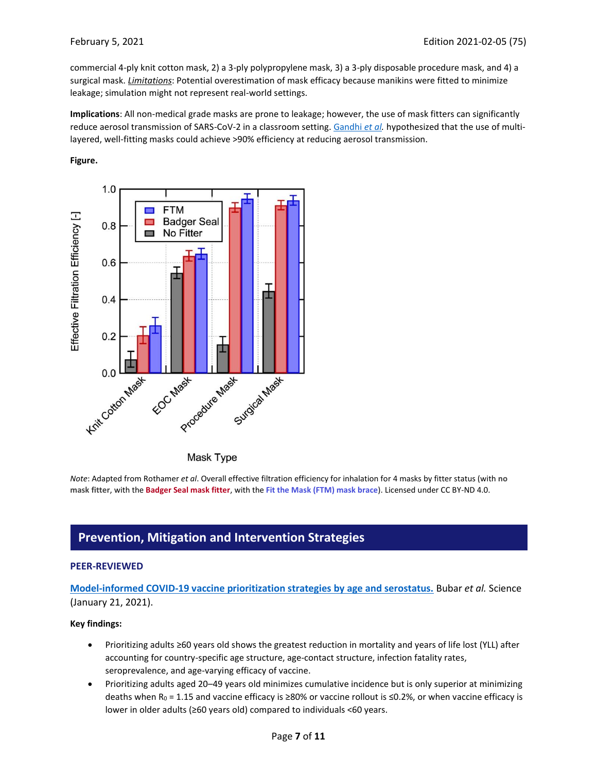commercial 4-ply knit cotton mask, 2) a 3-ply polypropylene mask, 3) a 3-ply disposable procedure mask, and 4) a surgical mask. *Limitations*: Potential overestimation of mask efficacy because manikins were fitted to minimize leakage; simulation might not represent real-world settings.

**Implications**: All non-medical grade masks are prone to leakage; however, the use of mask fitters can significantly reduce aerosol transmission of SARS-CoV-2 in a classroom setting. [Gandhi](https://www.sciencedirect.com/science/article/pii/S2666634020300726) *et al.* hypothesized that the use of multilayered, well-fitting masks could achieve >90% efficiency at reducing aerosol transmission.

#### **Figure.**



Mask Type

*Note*: Adapted from Rothamer *et al*. Overall effective filtration efficiency for inhalation for 4 masks by fitter status (with **no mask fitter**, with the **Badger Seal mask fitter**, with the **Fit the Mask (FTM) mask brace**). Licensed under CC BY-ND 4.0.

## **Prevention, Mitigation and Intervention Strategies**

#### **PEER-REVIEWED**

**[Model-informed COVID-19 vaccine prioritization strategies by age and serostatus.](https://science.sciencemag.org/content/early/2021/01/21/science.abe6959)** Bubar *et al.* Science (January 21, 2021).

#### **Key findings:**

- Prioritizing adults ≥60 years old shows the greatest reduction in mortality and years of life lost (YLL) after accounting for country-specific age structure, age-contact structure, infection fatality rates, seroprevalence, and age-varying efficacy of vaccine.
- Prioritizing adults aged 20–49 years old minimizes cumulative incidence but is only superior at minimizing deaths when R<sub>0</sub> = 1.15 and vaccine efficacy is ≥80% or vaccine rollout is ≤0.2%, or when vaccine efficacy is lower in older adults (≥60 years old) compared to individuals <60 years.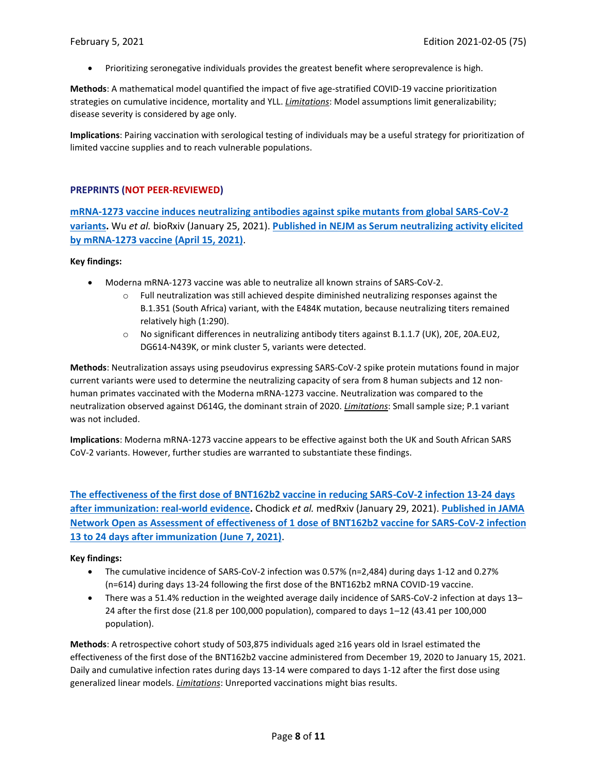• Prioritizing seronegative individuals provides the greatest benefit where seroprevalence is high.

**Methods**: A mathematical model quantified the impact of five age-stratified COVID-19 vaccine prioritization strategies on cumulative incidence, mortality and YLL. *Limitations*: Model assumptions limit generalizability; disease severity is considered by age only.

**Implications**: Pairing vaccination with serological testing of individuals may be a useful strategy for prioritization of limited vaccine supplies and to reach vulnerable populations.

#### **PREPRINTS (NOT PEER-REVIEWED)**

**[mRNA-1273 vaccine induces neutralizing antibodies against spike mutants from global SARS-CoV-2](https://www.biorxiv.org/content/10.1101/2021.01.25.427948v1)  [variants.](https://www.biorxiv.org/content/10.1101/2021.01.25.427948v1)** Wu *et al.* bioRxiv (January 25, 2021). **[Published in NEJM as Serum neutralizing activity elicited](https://www.nejm.org/doi/full/10.1056/NEJMc2102179)  [by mRNA-1273 vaccine](https://www.nejm.org/doi/full/10.1056/NEJMc2102179) (April 15, 2021)**.

#### **Key findings:**

- Moderna mRNA-1273 vaccine was able to neutralize all known strains of SARS-CoV-2.
	- o Full neutralization was still achieved despite diminished neutralizing responses against the B.1.351 (South Africa) variant, with the E484K mutation, because neutralizing titers remained relatively high (1:290).
	- $\circ$  No significant differences in neutralizing antibody titers against B.1.1.7 (UK), 20E, 20A.EU2, DG614-N439K, or mink cluster 5, variants were detected.

**Methods**: Neutralization assays using pseudovirus expressing SARS-CoV-2 spike protein mutations found in major current variants were used to determine the neutralizing capacity of sera from 8 human subjects and 12 nonhuman primates vaccinated with the Moderna mRNA-1273 vaccine. Neutralization was compared to the neutralization observed against D614G, the dominant strain of 2020. *Limitations*: Small sample size; P.1 variant was not included.

**Implications**: Moderna mRNA-1273 vaccine appears to be effective against both the UK and South African SARS CoV-2 variants. However, further studies are warranted to substantiate these findings.

**[The effectiveness of the first dose of BNT162b2 vaccine in reducing SARS-CoV-2 infection 13-24 days](https://www.medrxiv.org/content/10.1101/2021.01.27.21250612v1.full.pdf+html)  [after immunization: real-world evidence.](https://www.medrxiv.org/content/10.1101/2021.01.27.21250612v1.full.pdf+html)** Chodick *et al.* medRxiv (January 29, 2021). **[Published in JAMA](https://jamanetwork.com/journals/jamanetworkopen/fullarticle/2780700)  [Network Open as Assessment of effectiveness of 1 dose](https://jamanetwork.com/journals/jamanetworkopen/fullarticle/2780700) of BNT162b2 vaccine for SARS-CoV-2 infection [13 to 24 days after immunization](https://jamanetwork.com/journals/jamanetworkopen/fullarticle/2780700) (June 7, 2021)**.

#### **Key findings:**

- The cumulative incidence of SARS-CoV-2 infection was 0.57% (n=2,484) during days 1-12 and 0.27% (n=614) during days 13-24 following the first dose of the BNT162b2 mRNA COVID-19 vaccine.
- There was a 51.4% reduction in the weighted average daily incidence of SARS-CoV-2 infection at days 13– 24 after the first dose (21.8 per 100,000 population), compared to days 1–12 (43.41 per 100,000 population).

**Methods**: A retrospective cohort study of 503,875 individuals aged ≥16 years old in Israel estimated the effectiveness of the first dose of the BNT162b2 vaccine administered from December 19, 2020 to January 15, 2021. Daily and cumulative infection rates during days 13-14 were compared to days 1-12 after the first dose using generalized linear models. *Limitations*: Unreported vaccinations might bias results.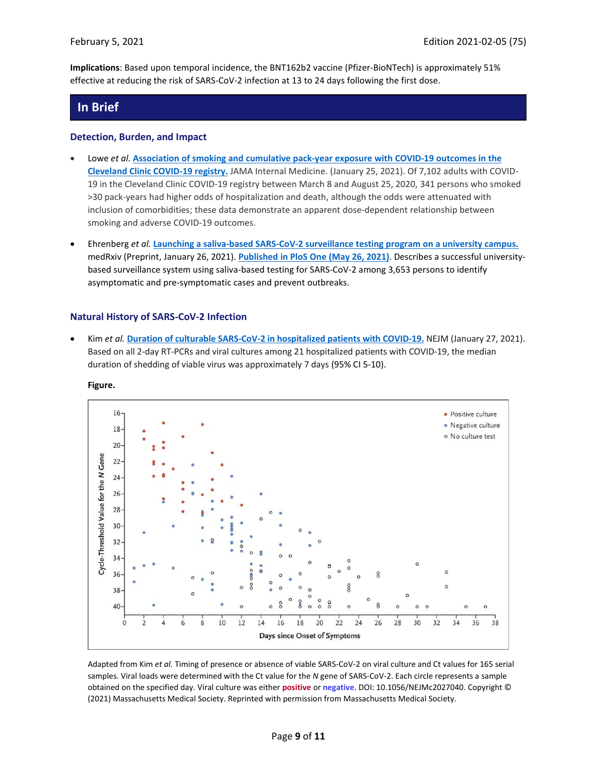**Implications**: Based upon temporal incidence, the BNT162b2 vaccine (Pfizer-BioNTech) is approximately 51% effective at reducing the risk of SARS-CoV-2 infection at 13 to 24 days following the first dose.

## **In Brief**

#### **Detection, Burden, and Impact**

- Lowe *et al.* **[Association of smoking and cumulative pack-year exposure with COVID-19 outcomes in the](https://jamanetwork.com/journals/jamainternalmedicine/fullarticle/2775677)  [Cleveland Clinic COVID-19 registry.](https://jamanetwork.com/journals/jamainternalmedicine/fullarticle/2775677)** JAMA Internal Medicine. (January 25, 2021). Of 7,102 adults with COVID-19 in the Cleveland Clinic COVID-19 registry between March 8 and August 25, 2020, 341 persons who smoked >30 pack-years had higher odds of hospitalization and death, although the odds were attenuated with inclusion of comorbidities; these data demonstrate an apparent dose-dependent relationship between smoking and adverse COVID-19 outcomes.
- Ehrenberg *et al.* **[Launching a saliva-based SARS-CoV-2 surveillance testing program on a university campus.](https://www.medrxiv.org/content/10.1101/2021.01.24.21250385v2)** medRxiv (Preprint, January 26, 2021). **Published [in PloS One \(May 26, 2021\)](https://doi.org/10.1371/journal.pone.0251296)**. Describes a successful universitybased surveillance system using saliva-based testing for SARS-CoV-2 among 3,653 persons to identify asymptomatic and pre-symptomatic cases and prevent outbreaks.

#### **Natural History of SARS-CoV-2 Infection**

• Kim *et al.* **Duration of culturable SARS-CoV-2 in [hospitalized](https://www.nejm.org/doi/full/10.1056/NEJMc2027040?query=TOC) patients with COVID-19.** NEJM (January 27, 2021). Based on all 2-day RT-PCRs and viral cultures among 21 hospitalized patients with COVID-19, the median duration of shedding of viable virus was approximately 7 days (95% CI 5-10).



**Figure.**

Adapted from Kim *et al.* Timing of presence or absence of viable SARS-CoV-2 on viral culture and Ct values for 165 serial samples. Viral loads were determined with the Ct value for the *N* gene of SARS-CoV-2. Each circle represents a sample obtained on the specified day. Viral culture was either **positive** or **negative**. DOI: 10.1056/NEJMc2027040. Copyright © (2021) Massachusetts Medical Society. Reprinted with permission from Massachusetts Medical Society.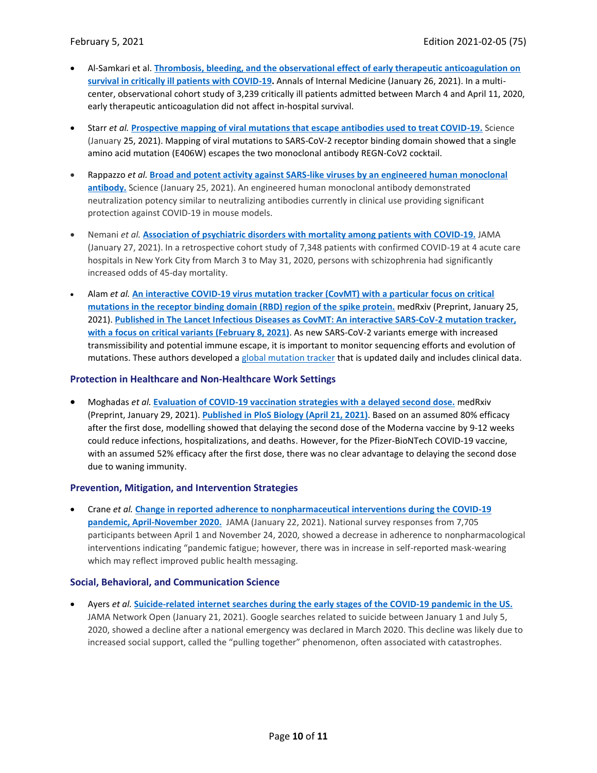- Al-Samkari et al. **[Thrombosis, bleeding, and the observational effect of early therapeutic anticoagulation on](https://www.acpjournals.org/doi/10.7326/M20-6739)  [survival in critically ill patients with COVID-19.](https://www.acpjournals.org/doi/10.7326/M20-6739)** Annals of Internal Medicine (January 26, 2021). In a multicenter, observational cohort study of 3,239 critically ill patients admitted between March 4 and April 11, 2020, early therapeutic anticoagulation did not affect in-hospital survival.
- Starr *et al.* **[Prospective mapping of viral mutations that escape antibodies used to treat COVID-19.](https://science.sciencemag.org/content/early/2021/01/22/science.abf9302)** Science (January 25, 2021). Mapping of viral mutations to SARS-CoV-2 receptor binding domain showed that a single amino acid mutation (E406W) escapes the two monoclonal antibody REGN-CoV2 cocktail.
- Rappazzo *et al.* **[Broad and potent activity against SARS-like viruses by an engineered human monoclonal](https://science.sciencemag.org/content/early/2021/01/22/science.abf4830)  [antibody.](https://science.sciencemag.org/content/early/2021/01/22/science.abf4830)** Science (January 25, 2021). An engineered human monoclonal antibody demonstrated neutralization potency similar to neutralizing antibodies currently in clinical use providing significant protection against COVID-19 in mouse models.
- Nemani *et al.* **[Association of psychiatric disorders with mortality among patients with COVID-19.](https://jamanetwork.com/journals/jamapsychiatry/fullarticle/2775179)** JAMA (January 27, 2021). In a retrospective cohort study of 7,348 patients with confirmed COVID-19 at 4 acute care hospitals in New York City from March 3 to May 31, 2020, persons with schizophrenia had significantly increased odds of 45-day mortality.
- Alam *et al.* **[An interactive COVID-19 virus mutation tracker \(CovMT\) with a particular focus on critical](https://www.medrxiv.org/content/10.1101/2021.01.22.21249716v1)  mutations in the receptor [binding domain \(RBD\) region of the spike protein.](https://www.medrxiv.org/content/10.1101/2021.01.22.21249716v1)** medRxiv (Preprint, January 25, 2021). **[Published in The Lancet Infectious Diseases as CovMT: An interactive SARS-CoV-2 mutation tracker,](https://doi.org/10.1016/S1473-3099(21)00078-5)  [with a focus on critical variants](https://doi.org/10.1016/S1473-3099(21)00078-5) (February 8, 2021)**. As new SARS-CoV-2 variants emerge with increased transmissibility and potential immune escape, it is important to monitor sequencing efforts and evolution of mutations. These authors developed a [global mutation tracker](https://www.cbrc.kaust.edu.sa/covmt/) that is updated daily and includes clinical data.

#### **Protection in Healthcare and Non-Healthcare Work Settings**

• Moghadas *et al.* **[Evaluation of COVID-19 vaccination strategies with a delayed second dose.](https://www.medrxiv.org/content/10.1101/2021.01.27.21250619v1)** medRxiv (Preprint, January 29, 2021). **[Published in PloS Biology \(April 21, 2021\)](https://doi.org/10.1371/journal.pbio.3001211)**. Based on an assumed 80% efficacy after the first dose, modelling showed that delaying the second dose of the Moderna vaccine by 9-12 weeks could reduce infections, hospitalizations, and deaths. However, for the Pfizer-BioNTech COVID-19 vaccine, with an assumed 52% efficacy after the first dose, there was no clear advantage to delaying the second dose due to waning immunity.

#### **Prevention, Mitigation, and Intervention Strategies**

• Crane *et al.* **[Change in reported adherence to nonpharmaceutical interventions during the COVID-19](https://jamanetwork.com/journals/jama/fullarticle/2775686?resultClick=1)  [pandemic, April-November 2020.](https://jamanetwork.com/journals/jama/fullarticle/2775686?resultClick=1)** JAMA (January 22, 2021). National survey responses from 7,705 participants between April 1 and November 24, 2020, showed a decrease in adherence to nonpharmacological interventions indicating "pandemic fatigue; however, there was in increase in self-reported mask-wearing which may reflect improved public health messaging.

#### **Social, Behavioral, and Communication Science**

• Ayers *et al.* **[Suicide-related internet searches during the early stages of the COVID-19 pandemic in the US.](https://jamanetwork.com/journals/jamanetworkopen/fullarticle/2775358)** JAMA Network Open (January 21, 2021). Google searches related to suicide between January 1 and July 5, 2020, showed a decline after a national emergency was declared in March 2020. This decline was likely due to increased social support, called the "pulling together" phenomenon, often associated with catastrophes.